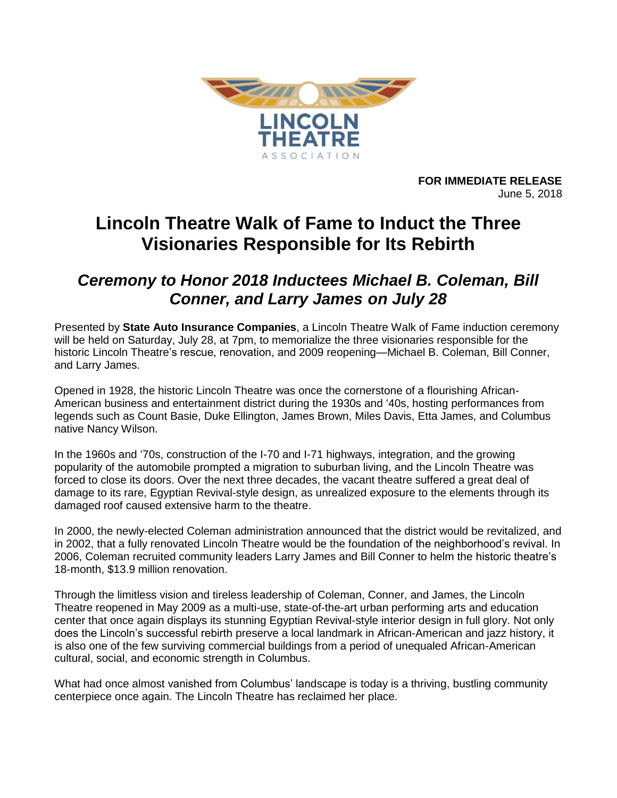

**FOR IMMEDIATE RELEASE** June 5, 2018

# **Lincoln Theatre Walk of Fame to Induct the Three Visionaries Responsible for Its Rebirth**

## *Ceremony to Honor 2018 Inductees Michael B. Coleman, Bill Conner, and Larry James on July 28*

Presented by **State Auto Insurance Companies**, a Lincoln Theatre Walk of Fame induction ceremony will be held on Saturday, July 28, at 7pm, to memorialize the three visionaries responsible for the historic Lincoln Theatre's rescue, renovation, and 2009 reopening—Michael B. Coleman, Bill Conner, and Larry James.

Opened in 1928, the historic Lincoln Theatre was once the cornerstone of a flourishing African-American business and entertainment district during the 1930s and '40s, hosting performances from legends such as Count Basie, Duke Ellington, James Brown, Miles Davis, Etta James, and Columbus native Nancy Wilson.

In the 1960s and '70s, construction of the I-70 and I-71 highways, integration, and the growing popularity of the automobile prompted a migration to suburban living, and the Lincoln Theatre was forced to close its doors. Over the next three decades, the vacant theatre suffered a great deal of damage to its rare, Egyptian Revival-style design, as unrealized exposure to the elements through its damaged roof caused extensive harm to the theatre.

In 2000, the newly-elected Coleman administration announced that the district would be revitalized, and in 2002, that a fully renovated Lincoln Theatre would be the foundation of the neighborhood's revival. In 2006, Coleman recruited community leaders Larry James and Bill Conner to helm the historic theatre's 18-month, \$13.9 million renovation.

Through the limitless vision and tireless leadership of Coleman, Conner, and James, the Lincoln Theatre reopened in May 2009 as a multi-use, state-of-the-art urban performing arts and education center that once again displays its stunning Egyptian Revival-style interior design in full glory. Not only does the Lincoln's successful rebirth preserve a local landmark in African-American and jazz history, it is also one of the few surviving commercial buildings from a period of unequaled African-American cultural, social, and economic strength in Columbus.

What had once almost vanished from Columbus' landscape is today is a thriving, bustling community centerpiece once again. The Lincoln Theatre has reclaimed her place.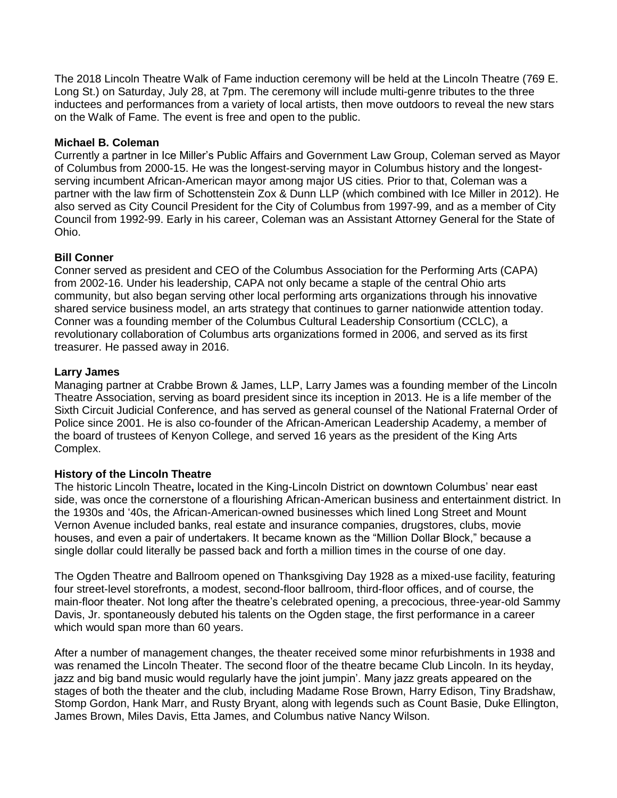The 2018 Lincoln Theatre Walk of Fame induction ceremony will be held at the Lincoln Theatre (769 E. Long St.) on Saturday, July 28, at 7pm. The ceremony will include multi-genre tributes to the three inductees and performances from a variety of local artists, then move outdoors to reveal the new stars on the Walk of Fame. The event is free and open to the public.

#### **Michael B. Coleman**

Currently a partner in Ice Miller's Public Affairs and Government Law Group, Coleman served as Mayor of Columbus from 2000-15. He was the longest-serving mayor in Columbus history and the longestserving incumbent African-American mayor among major US cities. Prior to that, Coleman was a partner with the law firm of Schottenstein Zox & Dunn LLP (which combined with Ice Miller in 2012). He also served as City Council President for the City of Columbus from 1997-99, and as a member of City Council from 1992-99. Early in his career, Coleman was an Assistant Attorney General for the State of Ohio.

### **Bill Conner**

Conner served as president and CEO of the Columbus Association for the Performing Arts (CAPA) from 2002-16. Under his leadership, CAPA not only became a staple of the central Ohio arts community, but also began serving other local performing arts organizations through his innovative shared service business model, an arts strategy that continues to garner nationwide attention today. Conner was a founding member of the Columbus Cultural Leadership Consortium (CCLC), a revolutionary collaboration of Columbus arts organizations formed in 2006, and served as its first treasurer. He passed away in 2016.

#### **Larry James**

Managing partner at Crabbe Brown & James, LLP, Larry James was a founding member of the Lincoln Theatre Association, serving as board president since its inception in 2013. He is a life member of the Sixth Circuit Judicial Conference, and has served as general counsel of the National Fraternal Order of Police since 2001. He is also co-founder of the African-American Leadership Academy, a member of the board of trustees of Kenyon College, and served 16 years as the president of the King Arts Complex.

#### **History of the Lincoln Theatre**

The historic Lincoln Theatre**,** located in the King-Lincoln District on downtown Columbus' near east side, was once the cornerstone of a flourishing African-American business and entertainment district. In the 1930s and '40s, the African-American-owned businesses which lined Long Street and Mount Vernon Avenue included banks, real estate and insurance companies, drugstores, clubs, movie houses, and even a pair of undertakers. It became known as the "Million Dollar Block," because a single dollar could literally be passed back and forth a million times in the course of one day.

The Ogden Theatre and Ballroom opened on Thanksgiving Day 1928 as a mixed-use facility, featuring four street-level storefronts, a modest, second-floor ballroom, third-floor offices, and of course, the main-floor theater. Not long after the theatre's celebrated opening, a precocious, three-year-old Sammy Davis, Jr. spontaneously debuted his talents on the Ogden stage, the first performance in a career which would span more than 60 years.

After a number of management changes, the theater received some minor refurbishments in 1938 and was renamed the Lincoln Theater. The second floor of the theatre became Club Lincoln. In its heyday, jazz and big band music would regularly have the joint jumpin'. Many jazz greats appeared on the stages of both the theater and the club, including Madame Rose Brown, Harry Edison, Tiny Bradshaw, Stomp Gordon, Hank Marr, and Rusty Bryant, along with legends such as Count Basie, Duke Ellington, James Brown, Miles Davis, Etta James, and Columbus native Nancy Wilson.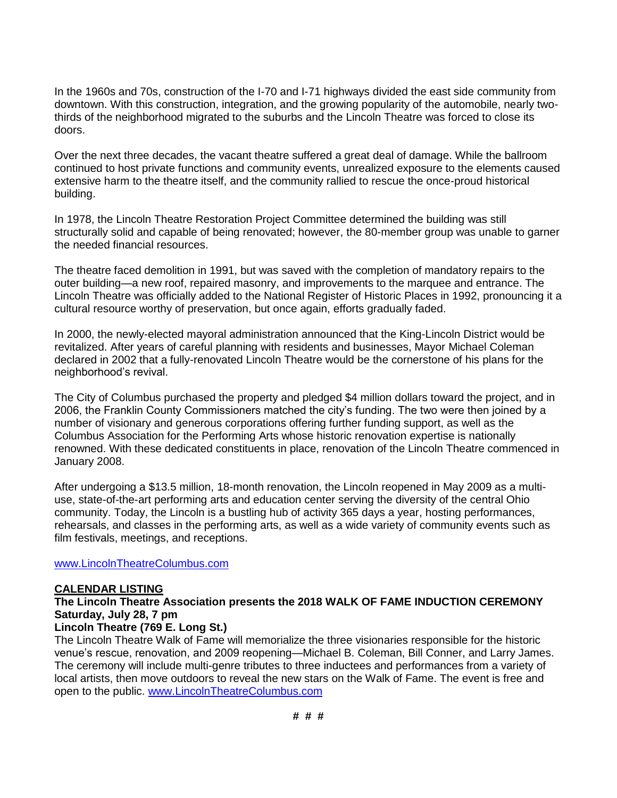In the 1960s and 70s, construction of the I-70 and I-71 highways divided the east side community from downtown. With this construction, integration, and the growing popularity of the automobile, nearly twothirds of the neighborhood migrated to the suburbs and the Lincoln Theatre was forced to close its doors.

Over the next three decades, the vacant theatre suffered a great deal of damage. While the ballroom continued to host private functions and community events, unrealized exposure to the elements caused extensive harm to the theatre itself, and the community rallied to rescue the once-proud historical building.

In 1978, the Lincoln Theatre Restoration Project Committee determined the building was still structurally solid and capable of being renovated; however, the 80-member group was unable to garner the needed financial resources.

The theatre faced demolition in 1991, but was saved with the completion of mandatory repairs to the outer building—a new roof, repaired masonry, and improvements to the marquee and entrance. The Lincoln Theatre was officially added to the National Register of Historic Places in 1992, pronouncing it a cultural resource worthy of preservation, but once again, efforts gradually faded.

In 2000, the newly-elected mayoral administration announced that the King-Lincoln District would be revitalized. After years of careful planning with residents and businesses, Mayor Michael Coleman declared in 2002 that a fully-renovated Lincoln Theatre would be the cornerstone of his plans for the neighborhood's revival.

The City of Columbus purchased the property and pledged \$4 million dollars toward the project, and in 2006, the Franklin County Commissioners matched the city's funding. The two were then joined by a number of visionary and generous corporations offering further funding support, as well as the Columbus Association for the Performing Arts whose historic renovation expertise is nationally renowned. With these dedicated constituents in place, renovation of the Lincoln Theatre commenced in January 2008.

After undergoing a \$13.5 million, 18-month renovation, the Lincoln reopened in May 2009 as a multiuse, state-of-the-art performing arts and education center serving the diversity of the central Ohio community. Today, the Lincoln is a bustling hub of activity 365 days a year, hosting performances, rehearsals, and classes in the performing arts, as well as a wide variety of community events such as film festivals, meetings, and receptions.

#### [www.LincolnTheatreColumbus.com](http://www.lincolntheatrecolumbus.com/)

### **CALENDAR LISTING**

### **The Lincoln Theatre Association presents the 2018 WALK OF FAME INDUCTION CEREMONY Saturday, July 28, 7 pm**

### **Lincoln Theatre (769 E. Long St.)**

The Lincoln Theatre Walk of Fame will memorialize the three visionaries responsible for the historic venue's rescue, renovation, and 2009 reopening—Michael B. Coleman, Bill Conner, and Larry James. The ceremony will include multi-genre tributes to three inductees and performances from a variety of local artists, then move outdoors to reveal the new stars on the Walk of Fame. The event is free and open to the public. [www.LincolnTheatreColumbus.com](http://www.lincolntheatrecolumbus.com/)